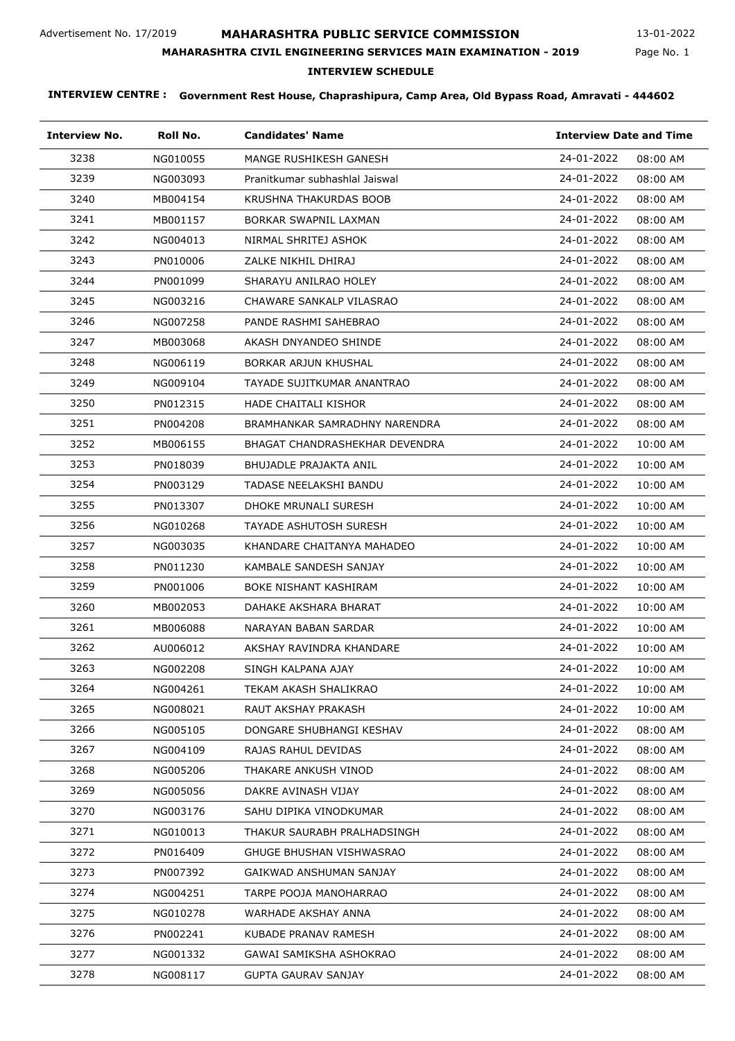# **MAHARASHTRA PUBLIC SERVICE COMMISSION**

Page No. 1 13-01-2022

## **MAHARASHTRA CIVIL ENGINEERING SERVICES MAIN EXAMINATION - 2019**

## **INTERVIEW SCHEDULE**

| <b>Interview No.</b> | Roll No. | <b>Candidates' Name</b>        | <b>Interview Date and Time</b> |
|----------------------|----------|--------------------------------|--------------------------------|
| 3238                 | NG010055 | MANGE RUSHIKESH GANESH         | 24-01-2022<br>08:00 AM         |
| 3239                 | NG003093 | Pranitkumar subhashlal Jaiswal | 24-01-2022<br>08:00 AM         |
| 3240                 | MB004154 | KRUSHNA THAKURDAS BOOB         | 24-01-2022<br>08:00 AM         |
| 3241                 | MB001157 | BORKAR SWAPNIL LAXMAN          | 24-01-2022<br>08:00 AM         |
| 3242                 | NG004013 | NIRMAL SHRITEJ ASHOK           | 24-01-2022<br>08:00 AM         |
| 3243                 | PN010006 | ZALKE NIKHIL DHIRAJ            | 24-01-2022<br>08:00 AM         |
| 3244                 | PN001099 | SHARAYU ANILRAO HOLEY          | 24-01-2022<br>08:00 AM         |
| 3245                 | NG003216 | CHAWARE SANKALP VILASRAO       | 24-01-2022<br>08:00 AM         |
| 3246                 | NG007258 | PANDE RASHMI SAHEBRAO          | 24-01-2022<br>08:00 AM         |
| 3247                 | MB003068 | AKASH DNYANDEO SHINDE          | 24-01-2022<br>08:00 AM         |
| 3248                 | NG006119 | BORKAR ARJUN KHUSHAL           | 24-01-2022<br>08:00 AM         |
| 3249                 | NG009104 | TAYADE SUJITKUMAR ANANTRAO     | 24-01-2022<br>08:00 AM         |
| 3250                 | PN012315 | HADE CHAITALI KISHOR           | 24-01-2022<br>08:00 AM         |
| 3251                 | PN004208 | BRAMHANKAR SAMRADHNY NARENDRA  | 24-01-2022<br>08:00 AM         |
| 3252                 | MB006155 | BHAGAT CHANDRASHEKHAR DEVENDRA | 24-01-2022<br>10:00 AM         |
| 3253                 | PN018039 | BHUJADLE PRAJAKTA ANIL         | 24-01-2022<br>10:00 AM         |
| 3254                 | PN003129 | TADASE NEELAKSHI BANDU         | 24-01-2022<br>10:00 AM         |
| 3255                 | PN013307 | DHOKE MRUNALI SURESH           | 24-01-2022<br>10:00 AM         |
| 3256                 | NG010268 | TAYADE ASHUTOSH SURESH         | 24-01-2022<br>10:00 AM         |
| 3257                 | NG003035 | KHANDARE CHAITANYA MAHADEO     | 24-01-2022<br>10:00 AM         |
| 3258                 | PN011230 | KAMBALE SANDESH SANJAY         | 24-01-2022<br>10:00 AM         |
| 3259                 | PN001006 | BOKE NISHANT KASHIRAM          | 24-01-2022<br>10:00 AM         |
| 3260                 | MB002053 | DAHAKE AKSHARA BHARAT          | 24-01-2022<br>10:00 AM         |
| 3261                 | MB006088 | NARAYAN BABAN SARDAR           | 24-01-2022<br>10:00 AM         |
| 3262                 | AU006012 | AKSHAY RAVINDRA KHANDARE       | 24-01-2022<br>10:00 AM         |
| 3263                 | NG002208 | SINGH KALPANA AJAY             | 24-01-2022<br>10:00 AM         |
| 3264                 | NG004261 | TEKAM AKASH SHALIKRAO          | 24-01-2022<br>10:00 AM         |
| 3265                 | NG008021 | RAUT AKSHAY PRAKASH            | 24-01-2022<br>10:00 AM         |
| 3266                 | NG005105 | DONGARE SHUBHANGI KESHAV       | 24-01-2022<br>08:00 AM         |
| 3267                 | NG004109 | RAJAS RAHUL DEVIDAS            | 24-01-2022<br>08:00 AM         |
| 3268                 | NG005206 | THAKARE ANKUSH VINOD           | 24-01-2022<br>08:00 AM         |
| 3269                 | NG005056 | DAKRE AVINASH VIJAY            | 24-01-2022<br>08:00 AM         |
| 3270                 | NG003176 | SAHU DIPIKA VINODKUMAR         | 24-01-2022<br>08:00 AM         |
| 3271                 | NG010013 | THAKUR SAURABH PRALHADSINGH    | 24-01-2022<br>08:00 AM         |
| 3272                 | PN016409 | GHUGE BHUSHAN VISHWASRAO       | 24-01-2022<br>08:00 AM         |
| 3273                 | PN007392 | GAIKWAD ANSHUMAN SANJAY        | 24-01-2022<br>08:00 AM         |
| 3274                 | NG004251 | TARPE POOJA MANOHARRAO         | 24-01-2022<br>08:00 AM         |
| 3275                 | NG010278 | WARHADE AKSHAY ANNA            | 24-01-2022<br>08:00 AM         |
| 3276                 | PN002241 | KUBADE PRANAV RAMESH           | 24-01-2022<br>08:00 AM         |
| 3277                 | NG001332 | GAWAI SAMIKSHA ASHOKRAO        | 24-01-2022<br>08:00 AM         |
| 3278                 | NG008117 | <b>GUPTA GAURAV SANJAY</b>     | 24-01-2022<br>08:00 AM         |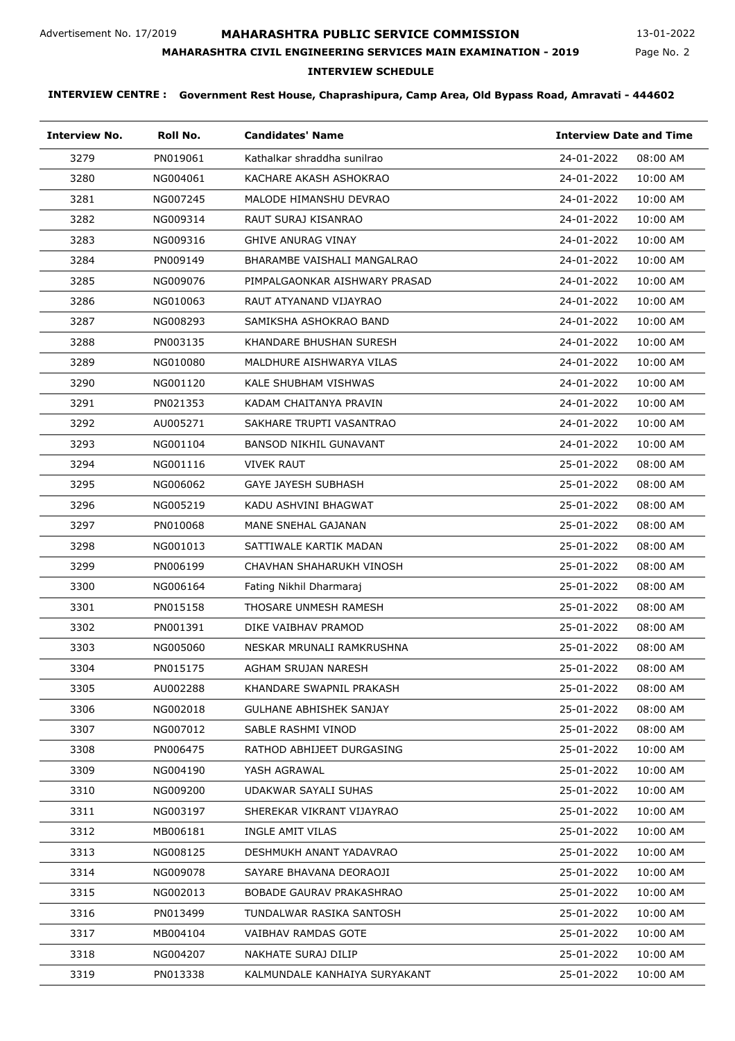# **MAHARASHTRA PUBLIC SERVICE COMMISSION**

Page No. 2 13-01-2022

# **MAHARASHTRA CIVIL ENGINEERING SERVICES MAIN EXAMINATION - 2019**

# **INTERVIEW SCHEDULE**

| <b>Interview No.</b> | Roll No. | <b>Candidates' Name</b>         | <b>Interview Date and Time</b> |
|----------------------|----------|---------------------------------|--------------------------------|
| 3279                 | PN019061 | Kathalkar shraddha sunilrao     | 24-01-2022<br>08:00 AM         |
| 3280                 | NG004061 | KACHARE AKASH ASHOKRAO          | 24-01-2022<br>10:00 AM         |
| 3281                 | NG007245 | MALODE HIMANSHU DEVRAO          | 24-01-2022<br>10:00 AM         |
| 3282                 | NG009314 | RAUT SURAJ KISANRAO             | 10:00 AM<br>24-01-2022         |
| 3283                 | NG009316 | <b>GHIVE ANURAG VINAY</b>       | 24-01-2022<br>10:00 AM         |
| 3284                 | PN009149 | BHARAMBE VAISHALI MANGALRAO     | 24-01-2022<br>10:00 AM         |
| 3285                 | NG009076 | PIMPALGAONKAR AISHWARY PRASAD   | 24-01-2022<br>10:00 AM         |
| 3286                 | NG010063 | RAUT ATYANAND VIJAYRAO          | 24-01-2022<br>10:00 AM         |
| 3287                 | NG008293 | SAMIKSHA ASHOKRAO BAND          | 24-01-2022<br>10:00 AM         |
| 3288                 | PN003135 | KHANDARE BHUSHAN SURESH         | 24-01-2022<br>10:00 AM         |
| 3289                 | NG010080 | MALDHURE AISHWARYA VILAS        | 24-01-2022<br>10:00 AM         |
| 3290                 | NG001120 | KALE SHUBHAM VISHWAS            | 24-01-2022<br>10:00 AM         |
| 3291                 | PN021353 | KADAM CHAITANYA PRAVIN          | 24-01-2022<br>10:00 AM         |
| 3292                 | AU005271 | SAKHARE TRUPTI VASANTRAO        | 24-01-2022<br>10:00 AM         |
| 3293                 | NG001104 | <b>BANSOD NIKHIL GUNAVANT</b>   | 10:00 AM<br>24-01-2022         |
| 3294                 | NG001116 | <b>VIVEK RAUT</b>               | 25-01-2022<br>08:00 AM         |
| 3295                 | NG006062 | <b>GAYE JAYESH SUBHASH</b>      | 25-01-2022<br>08:00 AM         |
| 3296                 | NG005219 | KADU ASHVINI BHAGWAT            | 25-01-2022<br>08:00 AM         |
| 3297                 | PN010068 | MANE SNEHAL GAJANAN             | 25-01-2022<br>08:00 AM         |
| 3298                 | NG001013 | SATTIWALE KARTIK MADAN          | 25-01-2022<br>08:00 AM         |
| 3299                 | PN006199 | CHAVHAN SHAHARUKH VINOSH        | 25-01-2022<br>08:00 AM         |
| 3300                 | NG006164 | Fating Nikhil Dharmaraj         | 08:00 AM<br>25-01-2022         |
| 3301                 | PN015158 | THOSARE UNMESH RAMESH           | 08:00 AM<br>25-01-2022         |
| 3302                 | PN001391 | DIKE VAIBHAV PRAMOD             | 25-01-2022<br>08:00 AM         |
| 3303                 | NG005060 | NESKAR MRUNALI RAMKRUSHNA       | 25-01-2022<br>08:00 AM         |
| 3304                 | PN015175 | AGHAM SRUJAN NARESH             | 25-01-2022<br>08:00 AM         |
| 3305                 | AU002288 | KHANDARE SWAPNIL PRAKASH        | 25-01-2022<br>08:00 AM         |
| 3306                 | NG002018 | <b>GULHANE ABHISHEK SANJAY</b>  | 25-01-2022<br>08:00 AM         |
| 3307                 | NG007012 | SABLE RASHMI VINOD              | 25-01-2022<br>08:00 AM         |
| 3308                 | PN006475 | RATHOD ABHIJEET DURGASING       | 25-01-2022<br>10:00 AM         |
| 3309                 | NG004190 | YASH AGRAWAL                    | 25-01-2022<br>10:00 AM         |
| 3310                 | NG009200 | UDAKWAR SAYALI SUHAS            | 25-01-2022<br>10:00 AM         |
| 3311                 | NG003197 | SHEREKAR VIKRANT VIJAYRAO       | 25-01-2022<br>10:00 AM         |
| 3312                 | MB006181 | INGLE AMIT VILAS                | 25-01-2022<br>10:00 AM         |
| 3313                 | NG008125 | DESHMUKH ANANT YADAVRAO         | 25-01-2022<br>10:00 AM         |
| 3314                 | NG009078 | SAYARE BHAVANA DEORAOJI         | 25-01-2022<br>10:00 AM         |
| 3315                 | NG002013 | <b>BOBADE GAURAV PRAKASHRAO</b> | 25-01-2022<br>10:00 AM         |
| 3316                 | PN013499 | TUNDALWAR RASIKA SANTOSH        | 25-01-2022<br>10:00 AM         |
| 3317                 | MB004104 | <b>VAIBHAV RAMDAS GOTE</b>      | 25-01-2022<br>10:00 AM         |
| 3318                 | NG004207 | NAKHATE SURAJ DILIP             | 25-01-2022<br>10:00 AM         |
| 3319                 | PN013338 | KALMUNDALE KANHAIYA SURYAKANT   | 25-01-2022<br>10:00 AM         |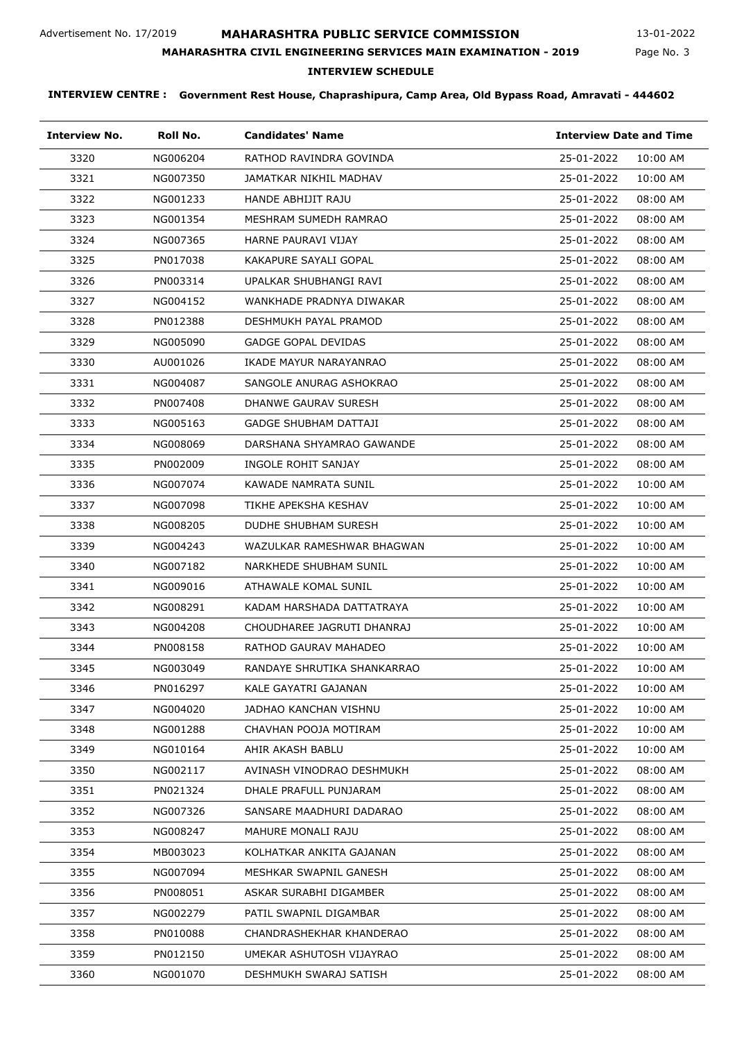# **MAHARASHTRA PUBLIC SERVICE COMMISSION**

Page No. 3 13-01-2022

## **MAHARASHTRA CIVIL ENGINEERING SERVICES MAIN EXAMINATION - 2019**

# **INTERVIEW SCHEDULE**

| <b>Interview No.</b> | Roll No. | <b>Candidates' Name</b>      | <b>Interview Date and Time</b> |
|----------------------|----------|------------------------------|--------------------------------|
| 3320                 | NG006204 | RATHOD RAVINDRA GOVINDA      | 25-01-2022<br>10:00 AM         |
| 3321                 | NG007350 | JAMATKAR NIKHIL MADHAV       | 25-01-2022<br>10:00 AM         |
| 3322                 | NG001233 | <b>HANDE ABHIJIT RAJU</b>    | 25-01-2022<br>08:00 AM         |
| 3323                 | NG001354 | MESHRAM SUMEDH RAMRAO        | 25-01-2022<br>08:00 AM         |
| 3324                 | NG007365 | HARNE PAURAVI VIJAY          | 25-01-2022<br>08:00 AM         |
| 3325                 | PN017038 | KAKAPURE SAYALI GOPAL        | 25-01-2022<br>08:00 AM         |
| 3326                 | PN003314 | UPALKAR SHUBHANGI RAVI       | 25-01-2022<br>08:00 AM         |
| 3327                 | NG004152 | WANKHADE PRADNYA DIWAKAR     | 25-01-2022<br>08:00 AM         |
| 3328                 | PN012388 | DESHMUKH PAYAL PRAMOD        | 25-01-2022<br>08:00 AM         |
| 3329                 | NG005090 | <b>GADGE GOPAL DEVIDAS</b>   | 25-01-2022<br>08:00 AM         |
| 3330                 | AU001026 | IKADE MAYUR NARAYANRAO       | 25-01-2022<br>08:00 AM         |
| 3331                 | NG004087 | SANGOLE ANURAG ASHOKRAO      | 25-01-2022<br>08:00 AM         |
| 3332                 | PN007408 | DHANWE GAURAV SURESH         | 25-01-2022<br>08:00 AM         |
| 3333                 | NG005163 | <b>GADGE SHUBHAM DATTAJI</b> | 25-01-2022<br>08:00 AM         |
| 3334                 | NG008069 | DARSHANA SHYAMRAO GAWANDE    | 25-01-2022<br>08:00 AM         |
| 3335                 | PN002009 | INGOLE ROHIT SANJAY          | 25-01-2022<br>08:00 AM         |
| 3336                 | NG007074 | KAWADE NAMRATA SUNIL         | 25-01-2022<br>10:00 AM         |
| 3337                 | NG007098 | TIKHE APEKSHA KESHAV         | 25-01-2022<br>10:00 AM         |
| 3338                 | NG008205 | DUDHE SHUBHAM SURESH         | 25-01-2022<br>10:00 AM         |
| 3339                 | NG004243 | WAZULKAR RAMESHWAR BHAGWAN   | 25-01-2022<br>10:00 AM         |
| 3340                 | NG007182 | NARKHEDE SHUBHAM SUNIL       | 25-01-2022<br>10:00 AM         |
| 3341                 | NG009016 | ATHAWALE KOMAL SUNIL         | 25-01-2022<br>10:00 AM         |
| 3342                 | NG008291 | KADAM HARSHADA DATTATRAYA    | 25-01-2022<br>10:00 AM         |
| 3343                 | NG004208 | CHOUDHAREE JAGRUTI DHANRAJ   | 25-01-2022<br>10:00 AM         |
| 3344                 | PN008158 | RATHOD GAURAV MAHADEO        | 25-01-2022<br>10:00 AM         |
| 3345                 | NG003049 | RANDAYE SHRUTIKA SHANKARRAO  | 25-01-2022<br>10:00 AM         |
| 3346                 | PN016297 | KALE GAYATRI GAJANAN         | 25-01-2022<br>10:00 AM         |
| 3347                 | NG004020 | JADHAO KANCHAN VISHNU        | 25-01-2022<br>10:00 AM         |
| 3348                 | NG001288 | CHAVHAN POOJA MOTIRAM        | 25-01-2022<br>10:00 AM         |
| 3349                 | NG010164 | AHIR AKASH BABLU             | 25-01-2022<br>10:00 AM         |
| 3350                 | NG002117 | AVINASH VINODRAO DESHMUKH    | 25-01-2022<br>08:00 AM         |
| 3351                 | PN021324 | DHALE PRAFULL PUNJARAM       | 25-01-2022<br>08:00 AM         |
| 3352                 | NG007326 | SANSARE MAADHURI DADARAO     | 25-01-2022<br>08:00 AM         |
| 3353                 | NG008247 | MAHURE MONALI RAJU           | 25-01-2022<br>08:00 AM         |
| 3354                 | MB003023 | KOLHATKAR ANKITA GAJANAN     | 25-01-2022<br>08:00 AM         |
| 3355                 | NG007094 | MESHKAR SWAPNIL GANESH       | 25-01-2022<br>08:00 AM         |
| 3356                 | PN008051 | ASKAR SURABHI DIGAMBER       | 25-01-2022<br>08:00 AM         |
| 3357                 | NG002279 | PATIL SWAPNIL DIGAMBAR       | 25-01-2022<br>08:00 AM         |
| 3358                 | PN010088 | CHANDRASHEKHAR KHANDERAO     | 25-01-2022<br>08:00 AM         |
| 3359                 | PN012150 | UMEKAR ASHUTOSH VIJAYRAO     | 25-01-2022<br>08:00 AM         |
| 3360                 | NG001070 | DESHMUKH SWARAJ SATISH       | 25-01-2022<br>08:00 AM         |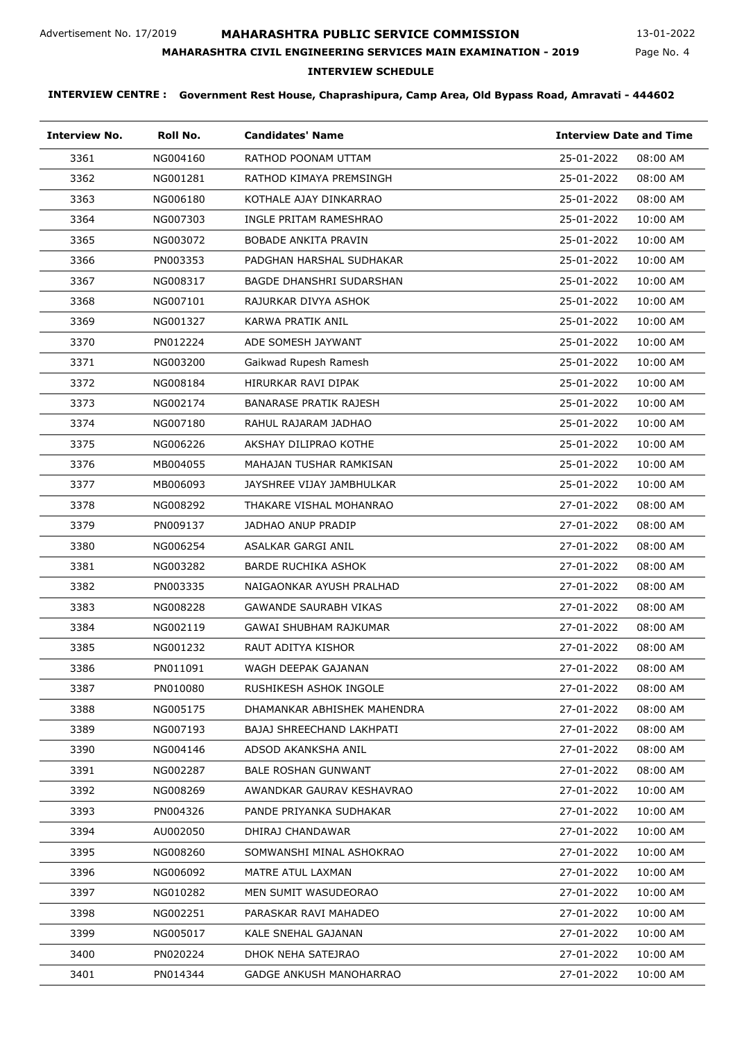# **MAHARASHTRA PUBLIC SERVICE COMMISSION**

Page No. 4 13-01-2022

# **MAHARASHTRA CIVIL ENGINEERING SERVICES MAIN EXAMINATION - 2019**

# **INTERVIEW SCHEDULE**

| <b>Interview No.</b> | Roll No. | <b>Candidates' Name</b>         | <b>Interview Date and Time</b> |
|----------------------|----------|---------------------------------|--------------------------------|
| 3361                 | NG004160 | RATHOD POONAM UTTAM             | 25-01-2022<br>08:00 AM         |
| 3362                 | NG001281 | RATHOD KIMAYA PREMSINGH         | 25-01-2022<br>08:00 AM         |
| 3363                 | NG006180 | KOTHALE AJAY DINKARRAO          | 25-01-2022<br>08:00 AM         |
| 3364                 | NG007303 | INGLE PRITAM RAMESHRAO          | 25-01-2022<br>10:00 AM         |
| 3365                 | NG003072 | <b>BOBADE ANKITA PRAVIN</b>     | 25-01-2022<br>10:00 AM         |
| 3366                 | PN003353 | PADGHAN HARSHAL SUDHAKAR        | 25-01-2022<br>10:00 AM         |
| 3367                 | NG008317 | <b>BAGDE DHANSHRI SUDARSHAN</b> | 25-01-2022<br>10:00 AM         |
| 3368                 | NG007101 | RAJURKAR DIVYA ASHOK            | 25-01-2022<br>10:00 AM         |
| 3369                 | NG001327 | KARWA PRATIK ANIL               | 25-01-2022<br>10:00 AM         |
| 3370                 | PN012224 | ADE SOMESH JAYWANT              | 25-01-2022<br>10:00 AM         |
| 3371                 | NG003200 | Gaikwad Rupesh Ramesh           | 25-01-2022<br>10:00 AM         |
| 3372                 | NG008184 | HIRURKAR RAVI DIPAK             | 25-01-2022<br>10:00 AM         |
| 3373                 | NG002174 | <b>BANARASE PRATIK RAJESH</b>   | 25-01-2022<br>10:00 AM         |
| 3374                 | NG007180 | RAHUL RAJARAM JADHAO            | 25-01-2022<br>10:00 AM         |
| 3375                 | NG006226 | AKSHAY DILIPRAO KOTHE           | 25-01-2022<br>10:00 AM         |
| 3376                 | MB004055 | MAHAJAN TUSHAR RAMKISAN         | 25-01-2022<br>10:00 AM         |
| 3377                 | MB006093 | JAYSHREE VIJAY JAMBHULKAR       | 25-01-2022<br>10:00 AM         |
| 3378                 | NG008292 | THAKARE VISHAL MOHANRAO         | 27-01-2022<br>08:00 AM         |
| 3379                 | PN009137 | JADHAO ANUP PRADIP              | 27-01-2022<br>08:00 AM         |
| 3380                 | NG006254 | ASALKAR GARGI ANIL              | 27-01-2022<br>08:00 AM         |
| 3381                 | NG003282 | <b>BARDE RUCHIKA ASHOK</b>      | 27-01-2022<br>08:00 AM         |
| 3382                 | PN003335 | NAIGAONKAR AYUSH PRALHAD        | 27-01-2022<br>08:00 AM         |
| 3383                 | NG008228 | <b>GAWANDE SAURABH VIKAS</b>    | 27-01-2022<br>08:00 AM         |
| 3384                 | NG002119 | GAWAI SHUBHAM RAJKUMAR          | 27-01-2022<br>08:00 AM         |
| 3385                 | NG001232 | RAUT ADITYA KISHOR              | 27-01-2022<br>08:00 AM         |
| 3386                 | PN011091 | WAGH DEEPAK GAJANAN             | 27-01-2022<br>08:00 AM         |
| 3387                 | PN010080 | RUSHIKESH ASHOK INGOLE          | 27-01-2022<br>08:00 AM         |
| 3388                 | NG005175 | DHAMANKAR ABHISHEK MAHENDRA     | 27-01-2022<br>08:00 AM         |
| 3389                 | NG007193 | BAJAJ SHREECHAND LAKHPATI       | 27-01-2022<br>08:00 AM         |
| 3390                 | NG004146 | ADSOD AKANKSHA ANIL             | 27-01-2022<br>08:00 AM         |
| 3391                 | NG002287 | <b>BALE ROSHAN GUNWANT</b>      | 27-01-2022<br>08:00 AM         |
| 3392                 | NG008269 | AWANDKAR GAURAV KESHAVRAO       | 27-01-2022<br>10:00 AM         |
| 3393                 | PN004326 | PANDE PRIYANKA SUDHAKAR         | 27-01-2022<br>10:00 AM         |
| 3394                 | AU002050 | DHIRAJ CHANDAWAR                | 27-01-2022<br>10:00 AM         |
| 3395                 | NG008260 | SOMWANSHI MINAL ASHOKRAO        | 27-01-2022<br>10:00 AM         |
| 3396                 | NG006092 | MATRE ATUL LAXMAN               | 27-01-2022<br>10:00 AM         |
| 3397                 | NG010282 | MEN SUMIT WASUDEORAO            | 27-01-2022<br>10:00 AM         |
| 3398                 | NG002251 | PARASKAR RAVI MAHADEO           | 27-01-2022<br>10:00 AM         |
| 3399                 | NG005017 | KALE SNEHAL GAJANAN             | 27-01-2022<br>10:00 AM         |
| 3400                 | PN020224 | DHOK NEHA SATEJRAO              | 27-01-2022<br>10:00 AM         |
| 3401                 | PN014344 | GADGE ANKUSH MANOHARRAO         | 27-01-2022<br>10:00 AM         |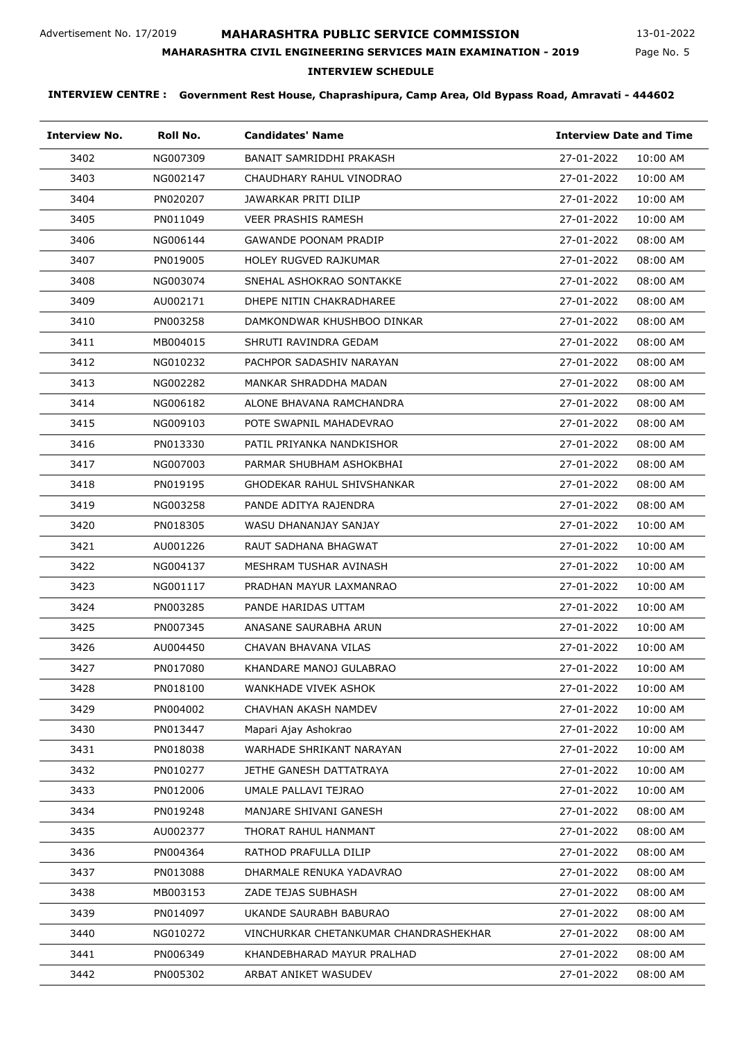# **MAHARASHTRA PUBLIC SERVICE COMMISSION**

Page No. 5 13-01-2022

# **MAHARASHTRA CIVIL ENGINEERING SERVICES MAIN EXAMINATION - 2019**

## **INTERVIEW SCHEDULE**

| <b>Interview No.</b> | Roll No. | <b>Candidates' Name</b>               | <b>Interview Date and Time</b> |          |
|----------------------|----------|---------------------------------------|--------------------------------|----------|
| 3402                 | NG007309 | BANAIT SAMRIDDHI PRAKASH              | 27-01-2022                     | 10:00 AM |
| 3403                 | NG002147 | CHAUDHARY RAHUL VINODRAO              | 27-01-2022                     | 10:00 AM |
| 3404                 | PN020207 | JAWARKAR PRITI DILIP                  | 27-01-2022                     | 10:00 AM |
| 3405                 | PN011049 | <b>VEER PRASHIS RAMESH</b>            | 27-01-2022                     | 10:00 AM |
| 3406                 | NG006144 | GAWANDE POONAM PRADIP                 | 27-01-2022                     | 08:00 AM |
| 3407                 | PN019005 | <b>HOLEY RUGVED RAJKUMAR</b>          | 27-01-2022                     | 08:00 AM |
| 3408                 | NG003074 | SNEHAL ASHOKRAO SONTAKKE              | 27-01-2022                     | 08:00 AM |
| 3409                 | AU002171 | DHEPE NITIN CHAKRADHAREE              | 27-01-2022                     | 08:00 AM |
| 3410                 | PN003258 | DAMKONDWAR KHUSHBOO DINKAR            | 27-01-2022                     | 08:00 AM |
| 3411                 | MB004015 | SHRUTI RAVINDRA GEDAM                 | 27-01-2022                     | 08:00 AM |
| 3412                 | NG010232 | PACHPOR SADASHIV NARAYAN              | 27-01-2022                     | 08:00 AM |
| 3413                 | NG002282 | MANKAR SHRADDHA MADAN                 | 27-01-2022                     | 08:00 AM |
| 3414                 | NG006182 | ALONE BHAVANA RAMCHANDRA              | 27-01-2022                     | 08:00 AM |
| 3415                 | NG009103 | POTE SWAPNIL MAHADEVRAO               | 27-01-2022                     | 08:00 AM |
| 3416                 | PN013330 | PATIL PRIYANKA NANDKISHOR             | 27-01-2022                     | 08:00 AM |
| 3417                 | NG007003 | PARMAR SHUBHAM ASHOKBHAI              | 27-01-2022                     | 08:00 AM |
| 3418                 | PN019195 | GHODEKAR RAHUL SHIVSHANKAR            | 27-01-2022                     | 08:00 AM |
| 3419                 | NG003258 | PANDE ADITYA RAJENDRA                 | 27-01-2022                     | 08:00 AM |
| 3420                 | PN018305 | WASU DHANANJAY SANJAY                 | 27-01-2022                     | 10:00 AM |
| 3421                 | AU001226 | RAUT SADHANA BHAGWAT                  | 27-01-2022                     | 10:00 AM |
| 3422                 | NG004137 | MESHRAM TUSHAR AVINASH                | 27-01-2022                     | 10:00 AM |
| 3423                 | NG001117 | PRADHAN MAYUR LAXMANRAO               | 27-01-2022                     | 10:00 AM |
| 3424                 | PN003285 | PANDE HARIDAS UTTAM                   | 27-01-2022                     | 10:00 AM |
| 3425                 | PN007345 | ANASANE SAURABHA ARUN                 | 27-01-2022                     | 10:00 AM |
| 3426                 | AU004450 | CHAVAN BHAVANA VILAS                  | 27-01-2022                     | 10:00 AM |
| 3427                 | PN017080 | KHANDARE MANOJ GULABRAO               | 27-01-2022                     | 10:00 AM |
| 3428                 | PN018100 | WANKHADE VIVEK ASHOK                  | 27-01-2022                     | 10:00 AM |
| 3429                 | PN004002 | CHAVHAN AKASH NAMDEV                  | 27-01-2022                     | 10:00 AM |
| 3430                 | PN013447 | Mapari Ajay Ashokrao                  | 27-01-2022                     | 10:00 AM |
| 3431                 | PN018038 | WARHADE SHRIKANT NARAYAN              | 27-01-2022                     | 10:00 AM |
| 3432                 | PN010277 | JETHE GANESH DATTATRAYA               | 27-01-2022                     | 10:00 AM |
| 3433                 | PN012006 | UMALE PALLAVI TEJRAO                  | 27-01-2022                     | 10:00 AM |
| 3434                 | PN019248 | MANJARE SHIVANI GANESH                | 27-01-2022                     | 08:00 AM |
| 3435                 | AU002377 | THORAT RAHUL HANMANT                  | 27-01-2022                     | 08:00 AM |
| 3436                 | PN004364 | RATHOD PRAFULLA DILIP                 | 27-01-2022                     | 08:00 AM |
| 3437                 | PN013088 | DHARMALE RENUKA YADAVRAO              | 27-01-2022                     | 08:00 AM |
| 3438                 | MB003153 | ZADE TEJAS SUBHASH                    | 27-01-2022                     | 08:00 AM |
| 3439                 | PN014097 | UKANDE SAURABH BABURAO                | 27-01-2022                     | 08:00 AM |
| 3440                 | NG010272 | VINCHURKAR CHETANKUMAR CHANDRASHEKHAR | 27-01-2022                     | 08:00 AM |
| 3441                 | PN006349 | KHANDEBHARAD MAYUR PRALHAD            | 27-01-2022                     | 08:00 AM |
| 3442                 | PN005302 | ARBAT ANIKET WASUDEV                  | 27-01-2022                     | 08:00 AM |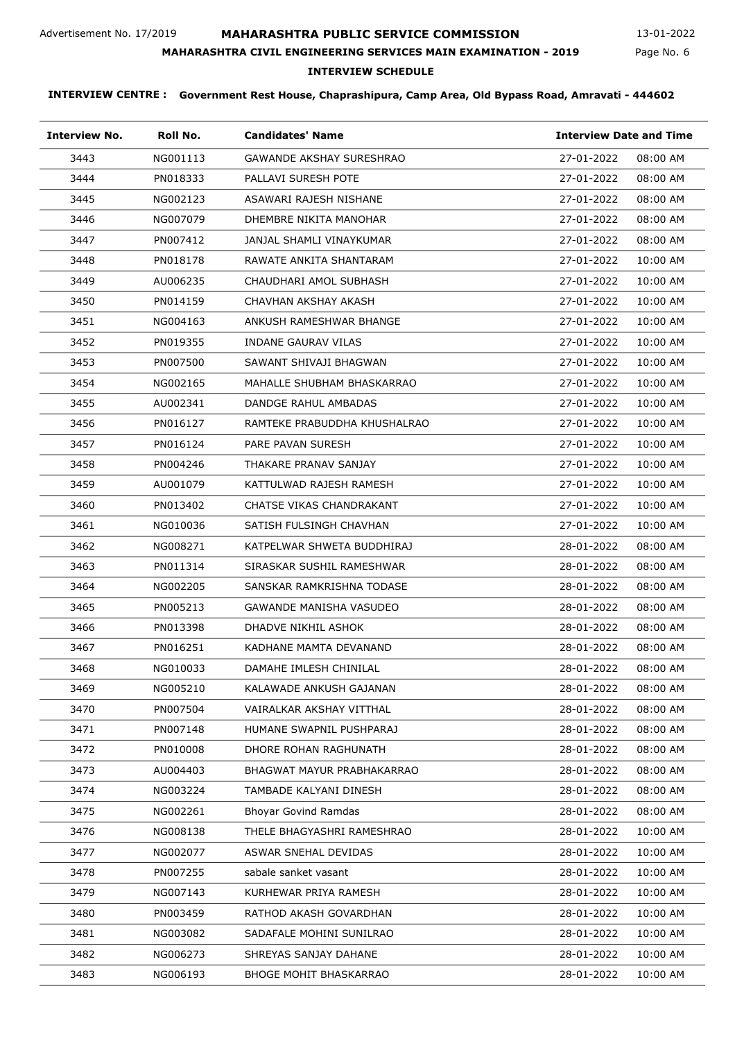# **MAHARASHTRA PUBLIC SERVICE COMMISSION**

Page No. 6 13-01-2022

## **MAHARASHTRA CIVIL ENGINEERING SERVICES MAIN EXAMINATION - 2019**

## **INTERVIEW SCHEDULE**

| <b>Interview No.</b> | Roll No. | <b>Candidates' Name</b>         | <b>Interview Date and Time</b> |
|----------------------|----------|---------------------------------|--------------------------------|
| 3443                 | NG001113 | <b>GAWANDE AKSHAY SURESHRAO</b> | 27-01-2022<br>08:00 AM         |
| 3444                 | PN018333 | PALLAVI SURESH POTE             | 27-01-2022<br>08:00 AM         |
| 3445                 | NG002123 | ASAWARI RAJESH NISHANE          | 27-01-2022<br>08:00 AM         |
| 3446                 | NG007079 | DHEMBRE NIKITA MANOHAR          | 27-01-2022<br>08:00 AM         |
| 3447                 | PN007412 | JANJAL SHAMLI VINAYKUMAR        | 27-01-2022<br>08:00 AM         |
| 3448                 | PN018178 | RAWATE ANKITA SHANTARAM         | 27-01-2022<br>10:00 AM         |
| 3449                 | AU006235 | CHAUDHARI AMOL SUBHASH          | 27-01-2022<br>10:00 AM         |
| 3450                 | PN014159 | CHAVHAN AKSHAY AKASH            | 27-01-2022<br>10:00 AM         |
| 3451                 | NG004163 | ANKUSH RAMESHWAR BHANGE         | 27-01-2022<br>10:00 AM         |
| 3452                 | PN019355 | INDANE GAURAV VILAS             | 27-01-2022<br>10:00 AM         |
| 3453                 | PN007500 | SAWANT SHIVAJI BHAGWAN          | 27-01-2022<br>10:00 AM         |
| 3454                 | NG002165 | MAHALLE SHUBHAM BHASKARRAO      | 27-01-2022<br>10:00 AM         |
| 3455                 | AU002341 | DANDGE RAHUL AMBADAS            | 27-01-2022<br>10:00 AM         |
| 3456                 | PN016127 | RAMTEKE PRABUDDHA KHUSHALRAO    | 27-01-2022<br>10:00 AM         |
| 3457                 | PN016124 | PARE PAVAN SURESH               | 27-01-2022<br>10:00 AM         |
| 3458                 | PN004246 | THAKARE PRANAV SANJAY           | 27-01-2022<br>10:00 AM         |
| 3459                 | AU001079 | KATTULWAD RAJESH RAMESH         | 27-01-2022<br>10:00 AM         |
| 3460                 | PN013402 | CHATSE VIKAS CHANDRAKANT        | 27-01-2022<br>10:00 AM         |
| 3461                 | NG010036 | SATISH FULSINGH CHAVHAN         | 27-01-2022<br>10:00 AM         |
| 3462                 | NG008271 | KATPELWAR SHWETA BUDDHIRAJ      | 28-01-2022<br>08:00 AM         |
| 3463                 | PN011314 | SIRASKAR SUSHIL RAMESHWAR       | 28-01-2022<br>08:00 AM         |
| 3464                 | NG002205 | SANSKAR RAMKRISHNA TODASE       | 28-01-2022<br>08:00 AM         |
| 3465                 | PN005213 | GAWANDE MANISHA VASUDEO         | 28-01-2022<br>08:00 AM         |
| 3466                 | PN013398 | DHADVE NIKHIL ASHOK             | 28-01-2022<br>08:00 AM         |
| 3467                 | PN016251 | KADHANE MAMTA DEVANAND          | 28-01-2022<br>08:00 AM         |
| 3468                 | NG010033 | DAMAHE IMLESH CHINILAL          | 28-01-2022<br>08:00 AM         |
| 3469                 | NG005210 | KALAWADE ANKUSH GAJANAN         | 28-01-2022<br>08:00 AM         |
| 3470                 | PN007504 | VAIRALKAR AKSHAY VITTHAL        | 28-01-2022<br>08:00 AM         |
| 3471                 | PN007148 | HUMANE SWAPNIL PUSHPARAJ        | 28-01-2022<br>08:00 AM         |
| 3472                 | PN010008 | DHORE ROHAN RAGHUNATH           | 28-01-2022<br>08:00 AM         |
| 3473                 | AU004403 | BHAGWAT MAYUR PRABHAKARRAO      | 28-01-2022<br>08:00 AM         |
| 3474                 | NG003224 | TAMBADE KALYANI DINESH          | 28-01-2022<br>08:00 AM         |
| 3475                 | NG002261 | <b>Bhoyar Govind Ramdas</b>     | 28-01-2022<br>08:00 AM         |
| 3476                 | NG008138 | THELE BHAGYASHRI RAMESHRAO      | 28-01-2022<br>10:00 AM         |
| 3477                 | NG002077 | ASWAR SNEHAL DEVIDAS            | 28-01-2022<br>10:00 AM         |
| 3478                 | PN007255 | sabale sanket vasant            | 28-01-2022<br>10:00 AM         |
| 3479                 | NG007143 | KURHEWAR PRIYA RAMESH           | 28-01-2022<br>10:00 AM         |
| 3480                 | PN003459 | RATHOD AKASH GOVARDHAN          | 28-01-2022<br>10:00 AM         |
| 3481                 | NG003082 | SADAFALE MOHINI SUNILRAO        | 28-01-2022<br>10:00 AM         |
| 3482                 | NG006273 | SHREYAS SANJAY DAHANE           | 28-01-2022<br>10:00 AM         |
| 3483                 | NG006193 | <b>BHOGE MOHIT BHASKARRAO</b>   | 28-01-2022<br>10:00 AM         |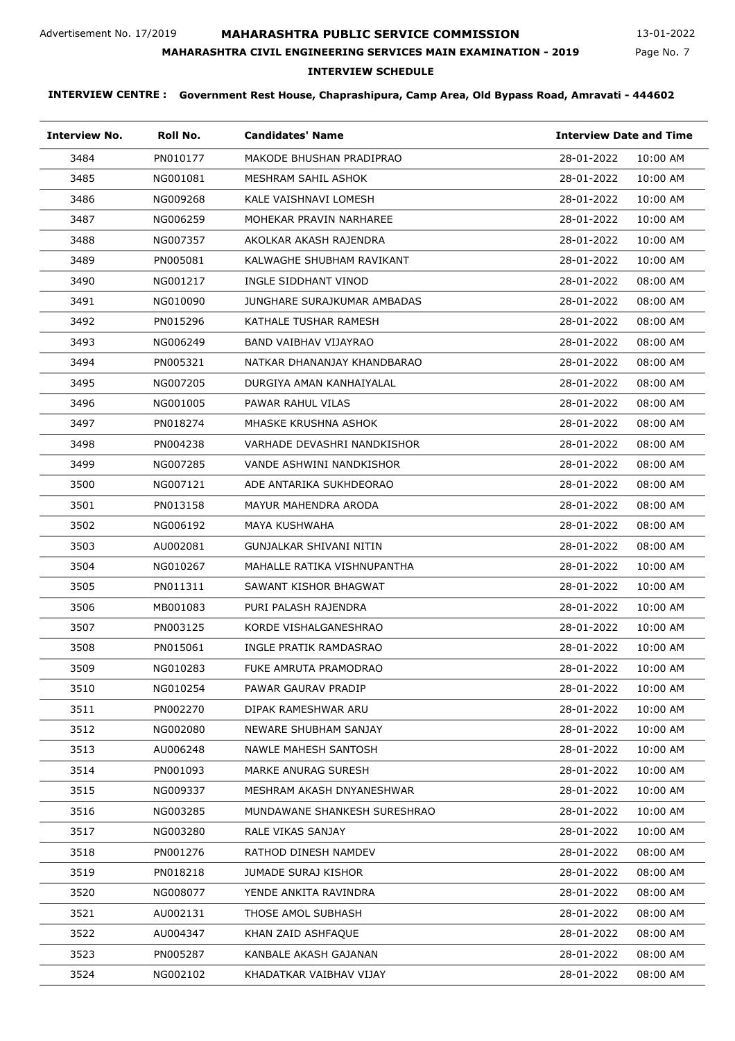# **MAHARASHTRA PUBLIC SERVICE COMMISSION**

Page No. 7 13-01-2022

# **MAHARASHTRA CIVIL ENGINEERING SERVICES MAIN EXAMINATION - 2019**

## **INTERVIEW SCHEDULE**

| <b>Interview No.</b> | Roll No. | <b>Candidates' Name</b>      | <b>Interview Date and Time</b> |
|----------------------|----------|------------------------------|--------------------------------|
| 3484                 | PN010177 | MAKODE BHUSHAN PRADIPRAO     | 28-01-2022<br>10:00 AM         |
| 3485                 | NG001081 | MESHRAM SAHIL ASHOK          | 28-01-2022<br>10:00 AM         |
| 3486                 | NG009268 | KALE VAISHNAVI LOMESH        | 28-01-2022<br>10:00 AM         |
| 3487                 | NG006259 | MOHEKAR PRAVIN NARHAREE      | 28-01-2022<br>10:00 AM         |
| 3488                 | NG007357 | AKOLKAR AKASH RAJENDRA       | 28-01-2022<br>10:00 AM         |
| 3489                 | PN005081 | KALWAGHE SHUBHAM RAVIKANT    | 28-01-2022<br>10:00 AM         |
| 3490                 | NG001217 | INGLE SIDDHANT VINOD         | 28-01-2022<br>08:00 AM         |
| 3491                 | NG010090 | JUNGHARE SURAJKUMAR AMBADAS  | 28-01-2022<br>08:00 AM         |
| 3492                 | PN015296 | KATHALE TUSHAR RAMESH        | 28-01-2022<br>08:00 AM         |
| 3493                 | NG006249 | BAND VAIBHAV VIJAYRAO        | 28-01-2022<br>08:00 AM         |
| 3494                 | PN005321 | NATKAR DHANANJAY KHANDBARAO  | 28-01-2022<br>08:00 AM         |
| 3495                 | NG007205 | DURGIYA AMAN KANHAIYALAL     | 28-01-2022<br>08:00 AM         |
| 3496                 | NG001005 | PAWAR RAHUL VILAS            | 28-01-2022<br>08:00 AM         |
| 3497                 | PN018274 | MHASKE KRUSHNA ASHOK         | 28-01-2022<br>08:00 AM         |
| 3498                 | PN004238 | VARHADE DEVASHRI NANDKISHOR  | 28-01-2022<br>08:00 AM         |
| 3499                 | NG007285 | VANDE ASHWINI NANDKISHOR     | 28-01-2022<br>08:00 AM         |
| 3500                 | NG007121 | ADE ANTARIKA SUKHDEORAO      | 28-01-2022<br>08:00 AM         |
| 3501                 | PN013158 | MAYUR MAHENDRA ARODA         | 28-01-2022<br>08:00 AM         |
| 3502                 | NG006192 | MAYA KUSHWAHA                | 28-01-2022<br>08:00 AM         |
| 3503                 | AU002081 | GUNJALKAR SHIVANI NITIN      | 28-01-2022<br>08:00 AM         |
| 3504                 | NG010267 | MAHALLE RATIKA VISHNUPANTHA  | 28-01-2022<br>10:00 AM         |
| 3505                 | PN011311 | SAWANT KISHOR BHAGWAT        | 28-01-2022<br>10:00 AM         |
| 3506                 | MB001083 | PURI PALASH RAJENDRA         | 28-01-2022<br>10:00 AM         |
| 3507                 | PN003125 | KORDE VISHALGANESHRAO        | 28-01-2022<br>10:00 AM         |
| 3508                 | PN015061 | INGLE PRATIK RAMDASRAO       | 28-01-2022<br>10:00 AM         |
| 3509                 | NG010283 | FUKE AMRUTA PRAMODRAO        | 28-01-2022<br>10:00 AM         |
| 3510                 | NG010254 | PAWAR GAURAV PRADIP          | 28-01-2022<br>10:00 AM         |
| 3511                 | PN002270 | DIPAK RAMESHWAR ARU          | 28-01-2022<br>10:00 AM         |
| 3512                 | NG002080 | NEWARE SHUBHAM SANJAY        | 28-01-2022<br>10:00 AM         |
| 3513                 | AU006248 | NAWLE MAHESH SANTOSH         | 28-01-2022<br>10:00 AM         |
| 3514                 | PN001093 | MARKE ANURAG SURESH          | 28-01-2022<br>10:00 AM         |
| 3515                 | NG009337 | MESHRAM AKASH DNYANESHWAR    | 28-01-2022<br>10:00 AM         |
| 3516                 | NG003285 | MUNDAWANE SHANKESH SURESHRAO | 28-01-2022<br>10:00 AM         |
| 3517                 | NG003280 | RALE VIKAS SANJAY            | 28-01-2022<br>10:00 AM         |
| 3518                 | PN001276 | RATHOD DINESH NAMDEV         | 28-01-2022<br>08:00 AM         |
| 3519                 | PN018218 | JUMADE SURAJ KISHOR          | 28-01-2022<br>08:00 AM         |
| 3520                 | NG008077 | YENDE ANKITA RAVINDRA        | 28-01-2022<br>08:00 AM         |
| 3521                 | AU002131 | THOSE AMOL SUBHASH           | 28-01-2022<br>08:00 AM         |
| 3522                 | AU004347 | KHAN ZAID ASHFAQUE           | 28-01-2022<br>08:00 AM         |
| 3523                 | PN005287 | KANBALE AKASH GAJANAN        | 28-01-2022<br>08:00 AM         |
| 3524                 | NG002102 | KHADATKAR VAIBHAV VIJAY      | 28-01-2022<br>08:00 AM         |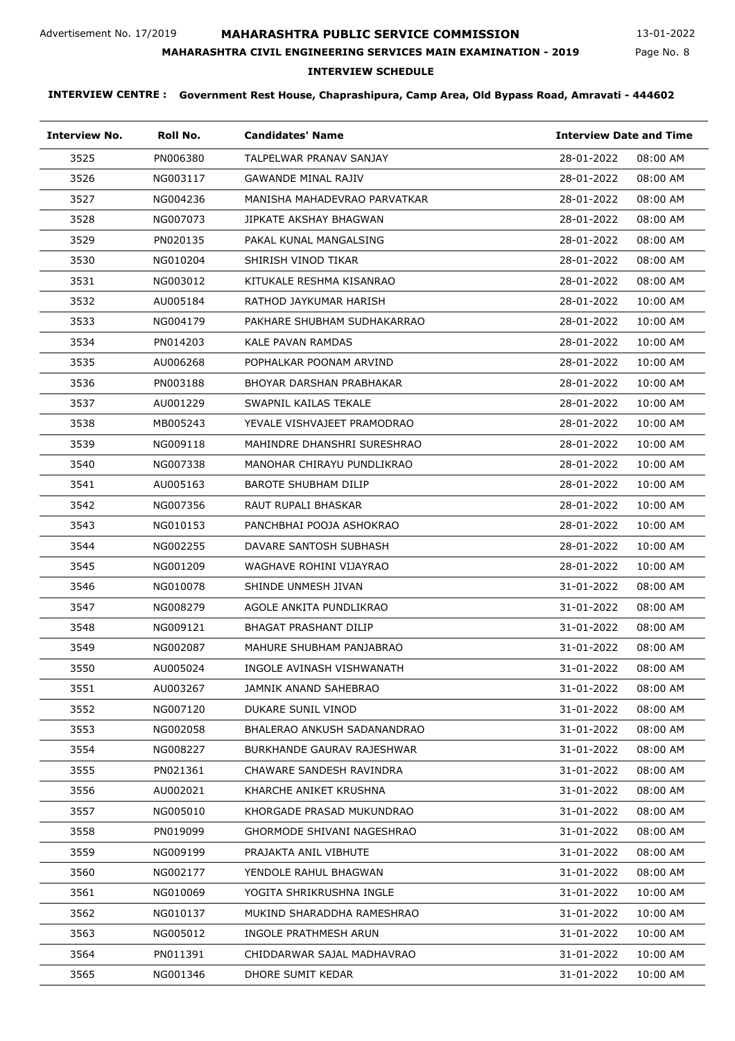# **MAHARASHTRA PUBLIC SERVICE COMMISSION**

Page No. 8 13-01-2022

# **MAHARASHTRA CIVIL ENGINEERING SERVICES MAIN EXAMINATION - 2019**

# **INTERVIEW SCHEDULE**

| <b>Interview No.</b> | Roll No. | <b>Candidates' Name</b>           | <b>Interview Date and Time</b> |
|----------------------|----------|-----------------------------------|--------------------------------|
| 3525                 | PN006380 | TALPELWAR PRANAV SANJAY           | 28-01-2022<br>08:00 AM         |
| 3526                 | NG003117 | <b>GAWANDE MINAL RAJIV</b>        | 28-01-2022<br>08:00 AM         |
| 3527                 | NG004236 | MANISHA MAHADEVRAO PARVATKAR      | 28-01-2022<br>08:00 AM         |
| 3528                 | NG007073 | JIPKATE AKSHAY BHAGWAN            | 28-01-2022<br>08:00 AM         |
| 3529                 | PN020135 | PAKAL KUNAL MANGALSING            | 28-01-2022<br>08:00 AM         |
| 3530                 | NG010204 | SHIRISH VINOD TIKAR               | 28-01-2022<br>08:00 AM         |
| 3531                 | NG003012 | KITUKALE RESHMA KISANRAO          | 28-01-2022<br>08:00 AM         |
| 3532                 | AU005184 | RATHOD JAYKUMAR HARISH            | 28-01-2022<br>10:00 AM         |
| 3533                 | NG004179 | PAKHARE SHUBHAM SUDHAKARRAO       | 28-01-2022<br>10:00 AM         |
| 3534                 | PN014203 | KALE PAVAN RAMDAS                 | 28-01-2022<br>10:00 AM         |
| 3535                 | AU006268 | POPHALKAR POONAM ARVIND           | 28-01-2022<br>10:00 AM         |
| 3536                 | PN003188 | BHOYAR DARSHAN PRABHAKAR          | 28-01-2022<br>10:00 AM         |
| 3537                 | AU001229 | SWAPNIL KAILAS TEKALE             | 28-01-2022<br>10:00 AM         |
| 3538                 | MB005243 | YEVALE VISHVAJEET PRAMODRAO       | 28-01-2022<br>10:00 AM         |
| 3539                 | NG009118 | MAHINDRE DHANSHRI SURESHRAO       | 28-01-2022<br>10:00 AM         |
| 3540                 | NG007338 | MANOHAR CHIRAYU PUNDLIKRAO        | 28-01-2022<br>10:00 AM         |
| 3541                 | AU005163 | <b>BAROTE SHUBHAM DILIP</b>       | 28-01-2022<br>10:00 AM         |
| 3542                 | NG007356 | RAUT RUPALI BHASKAR               | 28-01-2022<br>10:00 AM         |
| 3543                 | NG010153 | PANCHBHAI POOJA ASHOKRAO          | 28-01-2022<br>10:00 AM         |
| 3544                 | NG002255 | DAVARE SANTOSH SUBHASH            | 28-01-2022<br>10:00 AM         |
| 3545                 | NG001209 | WAGHAVE ROHINI VIJAYRAO           | 28-01-2022<br>10:00 AM         |
| 3546                 | NG010078 | SHINDE UNMESH JIVAN               | 31-01-2022<br>08:00 AM         |
| 3547                 | NG008279 | AGOLE ANKITA PUNDLIKRAO           | 31-01-2022<br>08:00 AM         |
| 3548                 | NG009121 | <b>BHAGAT PRASHANT DILIP</b>      | 31-01-2022<br>08:00 AM         |
| 3549                 | NG002087 | MAHURE SHUBHAM PANJABRAO          | 31-01-2022<br>08:00 AM         |
| 3550                 | AU005024 | INGOLE AVINASH VISHWANATH         | 31-01-2022<br>08:00 AM         |
| 3551                 | AU003267 | JAMNIK ANAND SAHEBRAO             | 31-01-2022<br>08:00 AM         |
| 3552                 | NG007120 | DUKARE SUNIL VINOD                | 31-01-2022<br>08:00 AM         |
| 3553                 | NG002058 | BHALERAO ANKUSH SADANANDRAO       | 31-01-2022<br>08:00 AM         |
| 3554                 | NG008227 | BURKHANDE GAURAV RAJESHWAR        | 31-01-2022<br>08:00 AM         |
| 3555                 | PN021361 | CHAWARE SANDESH RAVINDRA          | 31-01-2022<br>08:00 AM         |
| 3556                 | AU002021 | KHARCHE ANIKET KRUSHNA            | 31-01-2022<br>08:00 AM         |
| 3557                 | NG005010 | KHORGADE PRASAD MUKUNDRAO         | 31-01-2022<br>08:00 AM         |
| 3558                 | PN019099 | <b>GHORMODE SHIVANI NAGESHRAO</b> | 31-01-2022<br>08:00 AM         |
| 3559                 | NG009199 | PRAJAKTA ANIL VIBHUTE             | 31-01-2022<br>08:00 AM         |
| 3560                 | NG002177 | YENDOLE RAHUL BHAGWAN             | 31-01-2022<br>08:00 AM         |
| 3561                 | NG010069 | YOGITA SHRIKRUSHNA INGLE          | 31-01-2022<br>10:00 AM         |
| 3562                 | NG010137 | MUKIND SHARADDHA RAMESHRAO        | 31-01-2022<br>10:00 AM         |
| 3563                 | NG005012 | INGOLE PRATHMESH ARUN             | 31-01-2022<br>10:00 AM         |
| 3564                 | PN011391 | CHIDDARWAR SAJAL MADHAVRAO        | 31-01-2022<br>10:00 AM         |
| 3565                 | NG001346 | DHORE SUMIT KEDAR                 | 31-01-2022<br>10:00 AM         |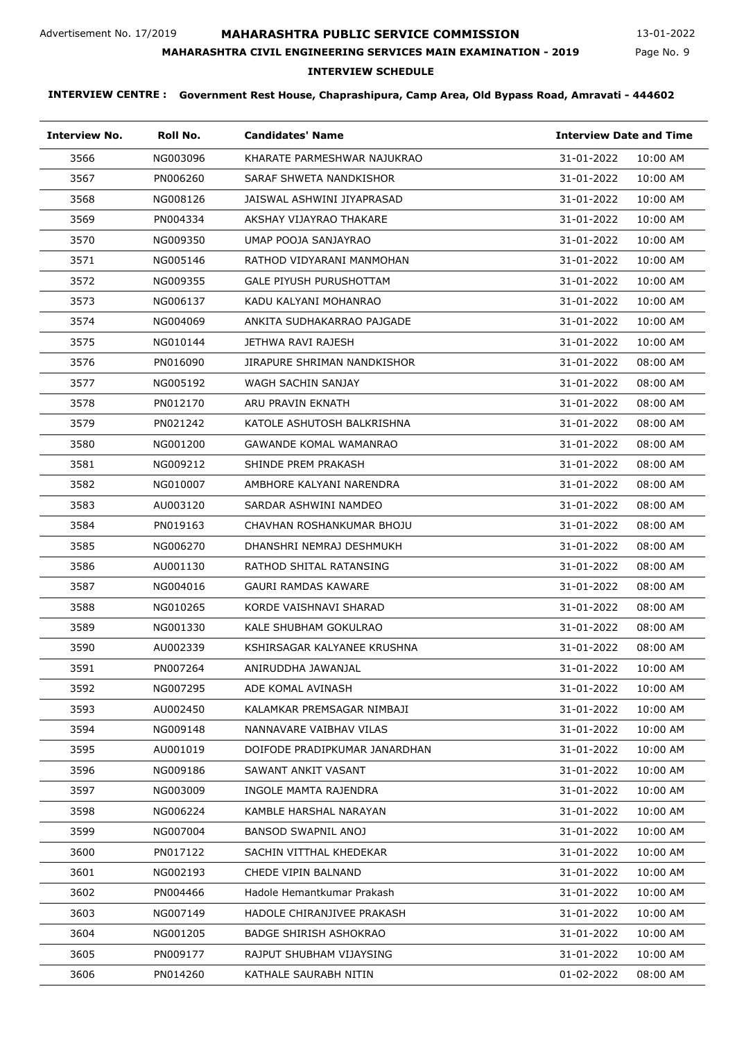# **MAHARASHTRA PUBLIC SERVICE COMMISSION**

Page No. 9 13-01-2022

# **MAHARASHTRA CIVIL ENGINEERING SERVICES MAIN EXAMINATION - 2019**

**INTERVIEW SCHEDULE**

| <b>Interview No.</b> | Roll No. | <b>Candidates' Name</b>       | <b>Interview Date and Time</b> |
|----------------------|----------|-------------------------------|--------------------------------|
| 3566                 | NG003096 | KHARATE PARMESHWAR NAJUKRAO   | 31-01-2022<br>10:00 AM         |
| 3567                 | PN006260 | SARAF SHWETA NANDKISHOR       | 31-01-2022<br>10:00 AM         |
| 3568                 | NG008126 | JAISWAL ASHWINI JIYAPRASAD    | 31-01-2022<br>10:00 AM         |
| 3569                 | PN004334 | AKSHAY VIJAYRAO THAKARE       | 31-01-2022<br>10:00 AM         |
| 3570                 | NG009350 | UMAP POOJA SANJAYRAO          | 31-01-2022<br>10:00 AM         |
| 3571                 | NG005146 | RATHOD VIDYARANI MANMOHAN     | 31-01-2022<br>10:00 AM         |
| 3572                 | NG009355 | GALE PIYUSH PURUSHOTTAM       | 31-01-2022<br>10:00 AM         |
| 3573                 | NG006137 | KADU KALYANI MOHANRAO         | 31-01-2022<br>10:00 AM         |
| 3574                 | NG004069 | ANKITA SUDHAKARRAO PAJGADE    | 31-01-2022<br>10:00 AM         |
| 3575                 | NG010144 | JETHWA RAVI RAJESH            | 31-01-2022<br>10:00 AM         |
| 3576                 | PN016090 | JIRAPURE SHRIMAN NANDKISHOR   | 31-01-2022<br>08:00 AM         |
| 3577                 | NG005192 | WAGH SACHIN SANJAY            | 31-01-2022<br>08:00 AM         |
| 3578                 | PN012170 | ARU PRAVIN EKNATH             | 31-01-2022<br>08:00 AM         |
| 3579                 | PN021242 | KATOLE ASHUTOSH BALKRISHNA    | 31-01-2022<br>08:00 AM         |
| 3580                 | NG001200 | <b>GAWANDE KOMAL WAMANRAO</b> | 31-01-2022<br>08:00 AM         |
| 3581                 | NG009212 | SHINDE PREM PRAKASH           | 31-01-2022<br>08:00 AM         |
| 3582                 | NG010007 | AMBHORE KALYANI NARENDRA      | 31-01-2022<br>08:00 AM         |
| 3583                 | AU003120 | SARDAR ASHWINI NAMDEO         | 31-01-2022<br>08:00 AM         |
| 3584                 | PN019163 | CHAVHAN ROSHANKUMAR BHOJU     | 31-01-2022<br>08:00 AM         |
| 3585                 | NG006270 | DHANSHRI NEMRAJ DESHMUKH      | 31-01-2022<br>08:00 AM         |
| 3586                 | AU001130 | RATHOD SHITAL RATANSING       | 31-01-2022<br>08:00 AM         |
| 3587                 | NG004016 | GAURI RAMDAS KAWARE           | 31-01-2022<br>08:00 AM         |
| 3588                 | NG010265 | KORDE VAISHNAVI SHARAD        | 31-01-2022<br>08:00 AM         |
| 3589                 | NG001330 | KALE SHUBHAM GOKULRAO         | 31-01-2022<br>08:00 AM         |
| 3590                 | AU002339 | KSHIRSAGAR KALYANEE KRUSHNA   | 31-01-2022<br>08:00 AM         |
| 3591                 | PN007264 | ANIRUDDHA JAWANJAL            | 31-01-2022<br>10:00 AM         |
| 3592                 | NG007295 | ADE KOMAL AVINASH             | 31-01-2022<br>10:00 AM         |
| 3593                 | AU002450 | KALAMKAR PREMSAGAR NIMBAJI    | 31-01-2022<br>10:00 AM         |
| 3594                 | NG009148 | NANNAVARE VAIBHAV VILAS       | 31-01-2022<br>10:00 AM         |
| 3595                 | AU001019 | DOIFODE PRADIPKUMAR JANARDHAN | 31-01-2022<br>10:00 AM         |
| 3596                 | NG009186 | SAWANT ANKIT VASANT           | 31-01-2022<br>10:00 AM         |
| 3597                 | NG003009 | INGOLE MAMTA RAJENDRA         | 31-01-2022<br>10:00 AM         |
| 3598                 | NG006224 | KAMBLE HARSHAL NARAYAN        | 31-01-2022<br>10:00 AM         |
| 3599                 | NG007004 | BANSOD SWAPNIL ANOJ           | 31-01-2022<br>10:00 AM         |
| 3600                 | PN017122 | SACHIN VITTHAL KHEDEKAR       | 31-01-2022<br>10:00 AM         |
| 3601                 | NG002193 | CHEDE VIPIN BALNAND           | 31-01-2022<br>10:00 AM         |
| 3602                 | PN004466 | Hadole Hemantkumar Prakash    | 31-01-2022<br>10:00 AM         |
| 3603                 | NG007149 | HADOLE CHIRANJIVEE PRAKASH    | 31-01-2022<br>10:00 AM         |
| 3604                 | NG001205 | <b>BADGE SHIRISH ASHOKRAO</b> | 31-01-2022<br>10:00 AM         |
| 3605                 | PN009177 | RAJPUT SHUBHAM VIJAYSING      | 31-01-2022<br>10:00 AM         |
| 3606                 | PN014260 | KATHALE SAURABH NITIN         | 01-02-2022<br>08:00 AM         |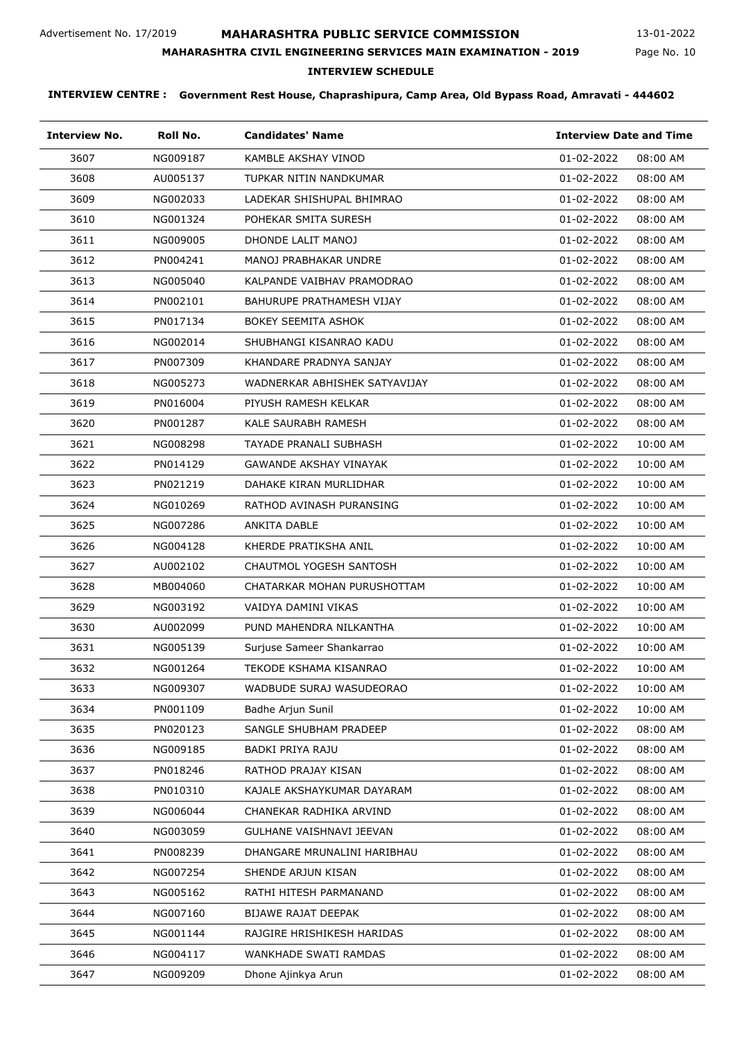# **MAHARASHTRA PUBLIC SERVICE COMMISSION**

**INTERVIEW SCHEDULE**

**MAHARASHTRA CIVIL ENGINEERING SERVICES MAIN EXAMINATION - 2019**

# Page No. 10

| <b>Interview No.</b> | Roll No. | <b>Candidates' Name</b>       | <b>Interview Date and Time</b> |
|----------------------|----------|-------------------------------|--------------------------------|
| 3607                 | NG009187 | KAMBLE AKSHAY VINOD           | 01-02-2022<br>08:00 AM         |
| 3608                 | AU005137 | TUPKAR NITIN NANDKUMAR        | 01-02-2022<br>08:00 AM         |
| 3609                 | NG002033 | LADEKAR SHISHUPAL BHIMRAO     | 01-02-2022<br>08:00 AM         |
| 3610                 | NG001324 | POHEKAR SMITA SURESH          | 01-02-2022<br>08:00 AM         |
| 3611                 | NG009005 | DHONDE LALIT MANOJ            | 01-02-2022<br>08:00 AM         |
| 3612                 | PN004241 | MANOJ PRABHAKAR UNDRE         | 01-02-2022<br>08:00 AM         |
| 3613                 | NG005040 | KALPANDE VAIBHAV PRAMODRAO    | 01-02-2022<br>08:00 AM         |
| 3614                 | PN002101 | BAHURUPE PRATHAMESH VIJAY     | 01-02-2022<br>08:00 AM         |
| 3615                 | PN017134 | <b>BOKEY SEEMITA ASHOK</b>    | 01-02-2022<br>08:00 AM         |
| 3616                 | NG002014 | SHUBHANGI KISANRAO KADU       | 01-02-2022<br>08:00 AM         |
| 3617                 | PN007309 | KHANDARE PRADNYA SANJAY       | 01-02-2022<br>08:00 AM         |
| 3618                 | NG005273 | WADNERKAR ABHISHEK SATYAVIJAY | 01-02-2022<br>08:00 AM         |
| 3619                 | PN016004 | PIYUSH RAMESH KELKAR          | 01-02-2022<br>08:00 AM         |
| 3620                 | PN001287 | KALE SAURABH RAMESH           | 01-02-2022<br>08:00 AM         |
| 3621                 | NG008298 | TAYADE PRANALI SUBHASH        | 01-02-2022<br>10:00 AM         |
| 3622                 | PN014129 | GAWANDE AKSHAY VINAYAK        | 01-02-2022<br>10:00 AM         |
| 3623                 | PN021219 | DAHAKE KIRAN MURLIDHAR        | 01-02-2022<br>10:00 AM         |
| 3624                 | NG010269 | RATHOD AVINASH PURANSING      | 01-02-2022<br>10:00 AM         |
| 3625                 | NG007286 | ANKITA DABLE                  | 01-02-2022<br>10:00 AM         |
| 3626                 | NG004128 | KHERDE PRATIKSHA ANIL         | 01-02-2022<br>10:00 AM         |
| 3627                 | AU002102 | CHAUTMOL YOGESH SANTOSH       | 01-02-2022<br>10:00 AM         |
| 3628                 | MB004060 | CHATARKAR MOHAN PURUSHOTTAM   | 01-02-2022<br>10:00 AM         |
| 3629                 | NG003192 | VAIDYA DAMINI VIKAS           | 01-02-2022<br>10:00 AM         |
| 3630                 | AU002099 | PUND MAHENDRA NILKANTHA       | 01-02-2022<br>10:00 AM         |
| 3631                 | NG005139 | Surjuse Sameer Shankarrao     | 01-02-2022<br>10:00 AM         |
| 3632                 | NG001264 | TEKODE KSHAMA KISANRAO        | 01-02-2022<br>10:00 AM         |
| 3633                 | NG009307 | WADBUDE SURAJ WASUDEORAO      | 01-02-2022<br>10:00 AM         |
| 3634                 | PN001109 | Badhe Arjun Sunil             | 01-02-2022<br>10:00 AM         |
| 3635                 | PN020123 | SANGLE SHUBHAM PRADEEP        | 01-02-2022<br>08:00 AM         |
| 3636                 | NG009185 | <b>BADKI PRIYA RAJU</b>       | 01-02-2022<br>08:00 AM         |
| 3637                 | PN018246 | RATHOD PRAJAY KISAN           | 01-02-2022<br>08:00 AM         |
| 3638                 | PN010310 | KAJALE AKSHAYKUMAR DAYARAM    | 01-02-2022<br>08:00 AM         |
| 3639                 | NG006044 | CHANEKAR RADHIKA ARVIND       | 01-02-2022<br>08:00 AM         |
| 3640                 | NG003059 | GULHANE VAISHNAVI JEEVAN      | 01-02-2022<br>08:00 AM         |
| 3641                 | PN008239 | DHANGARE MRUNALINI HARIBHAU   | 01-02-2022<br>08:00 AM         |
| 3642                 | NG007254 | SHENDE ARJUN KISAN            | 01-02-2022<br>08:00 AM         |
| 3643                 | NG005162 | RATHI HITESH PARMANAND        | 01-02-2022<br>08:00 AM         |
| 3644                 | NG007160 | <b>BIJAWE RAJAT DEEPAK</b>    | 01-02-2022<br>08:00 AM         |
| 3645                 | NG001144 | RAJGIRE HRISHIKESH HARIDAS    | 01-02-2022<br>08:00 AM         |
| 3646                 | NG004117 | WANKHADE SWATI RAMDAS         | 01-02-2022<br>08:00 AM         |
| 3647                 | NG009209 | Dhone Ajinkya Arun            | 01-02-2022<br>08:00 AM         |